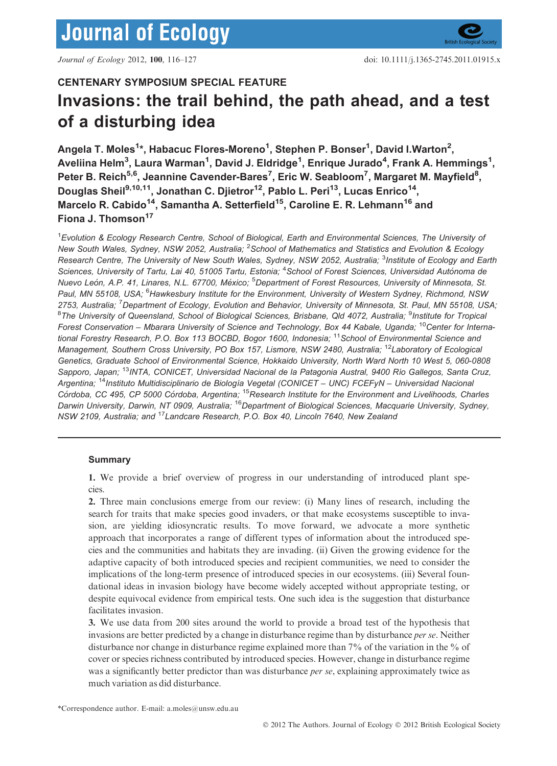Journal of Ecology 2012, 100, 116–127 doi: 10.1111/j.1365-2745.2011.01915.x

CENTENARY SYMPOSIUM SPECIAL FEATURE

# Invasions: the trail behind, the path ahead, and a test of a disturbing idea

Angela T. Moles<sup>1</sup>\*, Habacuc Flores-Moreno<sup>1</sup>, Stephen P. Bonser<sup>1</sup>, David I.Warton<sup>2</sup>, Aveliina Helm<sup>3</sup>, Laura Warman<sup>1</sup>, David J. Eldridge<sup>1</sup>, Enrique Jurado<sup>4</sup>, Frank A. Hemmings<sup>1</sup>, Peter B. Reich $^{5,6}$ , Jeannine Cavender-Bares $^7$ , Eric W. Seabloom $^7$ , Margaret M. Mayfield $^8\!$ Douglas Sheil<sup>9,10,11</sup>, Jonathan C. Djietror<sup>12</sup>, Pablo L. Peri<sup>13</sup>, Lucas Enrico<sup>14</sup>, Marcelo R. Cabido<sup>14</sup>, Samantha A. Setterfield<sup>15</sup>, Caroline E. R. Lehmann<sup>16</sup> and Fiona J. Thomson $17$ 

<sup>1</sup> Evolution & Ecology Research Centre, School of Biological, Earth and Environmental Sciences, The University oi New South Wales, Sydney, NSW 2052, Australia; <sup>2</sup>School of Mathematics and Statistics and Evolution & Ecology Research Centre, The University of New South Wales, Sydney, NSW 2052, Australia; <sup>3</sup>Institute of Ecology and Earth Sciences, University of Tartu, Lai 40, 51005 Tartu, Estonia; <sup>4</sup>School of Forest Sciences, Universidad Autónoma de Nuevo León, A.P. 41, Linares, N.L. 67700, México; <sup>5</sup>Department of Forest Resources, University of Minnesota, St. Paul, MN 55108, USA; <sup>6</sup>Hawkesbury Institute for the Environment, University of Western Sydney, Richmond, NSW 2753, Australia; <sup>7</sup>Department of Ecology, Evolution and Behavior, University of Minnesota, St. Paul, MN 55108, USA, <sup>8</sup>The University of Queensland, School of Biological Sciences, Brisbane, Qld 4072, Australia; <sup>9</sup>Institute for Tropical Forest Conservation – Mbarara University of Science and Technology, Box 44 Kabale, Uganda; <sup>10</sup>Center for International Forestry Research, P.O. Box 113 BOCBD, Bogor 1600, Indonesia; <sup>11</sup> School of Environmental Science and Management, Southern Cross University, PO Box 157, Lismore, NSW 2480, Australia; <sup>12</sup>Laboratory of Ecological Genetics, Graduate School of Environmental Science, Hokkaido University, North Ward North 10 West 5, 060-0808 Sapporo, Japan; <sup>13</sup>INTA, CONICET, Universidad Nacional de la Patagonia Austral, 9400 Río Gallegos, Santa Cruz, Argentina; <sup>14</sup>Instituto Multidisciplinario de Biología Vegetal (CONICET – UNC) FCEFyN – Universidad Nacional Córdoba, CC 495, CP 5000 Córdoba, Argentina; <sup>15</sup>Research Institute for the Environment and Livelihoods, Charles Darwin University, Darwin, NT 0909, Australia; <sup>16</sup>Department of Biological Sciences, Macquarie University, Sydney, NSW 2109, Australia; and <sup>17</sup> Landcare Research, P.O. Box 40, Lincoln 7640, New Zealand

# Summary

1. We provide a brief overview of progress in our understanding of introduced plant species.

2. Three main conclusions emerge from our review: (i) Many lines of research, including the search for traits that make species good invaders, or that make ecosystems susceptible to invasion, are yielding idiosyncratic results. To move forward, we advocate a more synthetic approach that incorporates a range of different types of information about the introduced species and the communities and habitats they are invading. (ii) Given the growing evidence for the adaptive capacity of both introduced species and recipient communities, we need to consider the implications of the long-term presence of introduced species in our ecosystems. (iii) Several foundational ideas in invasion biology have become widely accepted without appropriate testing, or despite equivocal evidence from empirical tests. One such idea is the suggestion that disturbance facilitates invasion.

3. We use data from 200 sites around the world to provide a broad test of the hypothesis that invasions are better predicted by a change in disturbance regime than by disturbance *per se*. Neither disturbance nor change in disturbance regime explained more than 7% of the variation in the % of cover or species richness contributed by introduced species. However, change in disturbance regime was a significantly better predictor than was disturbance *per se*, explaining approximately twice as much variation as did disturbance.

<sup>\*</sup>Correspondence author. E-mail: a.moles@unsw.edu.au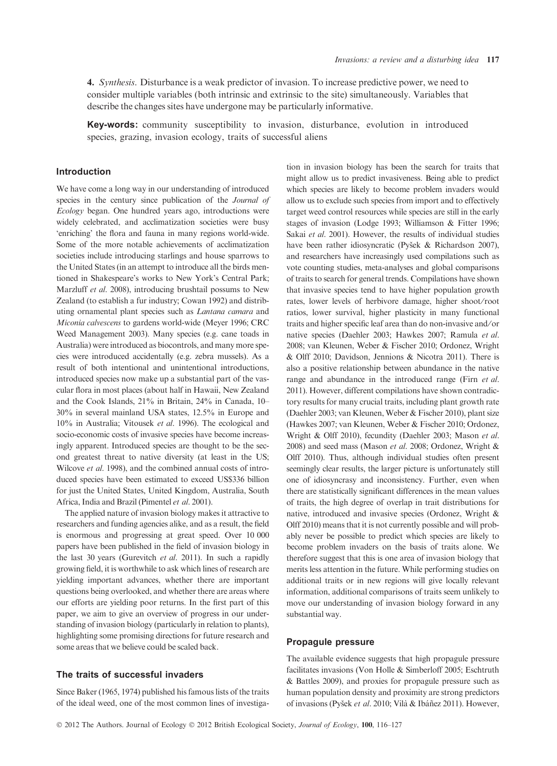4. Synthesis. Disturbance is a weak predictor of invasion. To increase predictive power, we need to consider multiple variables (both intrinsic and extrinsic to the site) simultaneously. Variables that describe the changes sites have undergone may be particularly informative.

Key-words: community susceptibility to invasion, disturbance, evolution in introduced species, grazing, invasion ecology, traits of successful aliens

## Introduction

We have come a long way in our understanding of introduced species in the century since publication of the Journal of Ecology began. One hundred years ago, introductions were widely celebrated, and acclimatization societies were busy 'enriching' the flora and fauna in many regions world-wide. Some of the more notable achievements of acclimatization societies include introducing starlings and house sparrows to the United States (in an attempt to introduce all the birds mentioned in Shakespeare's works to New York's Central Park; Marzluff et al. 2008), introducing brushtail possums to New Zealand (to establish a fur industry; Cowan 1992) and distributing ornamental plant species such as Lantana camara and Miconia calvescens to gardens world-wide (Meyer 1996; CRC Weed Management 2003). Many species (e.g. cane toads in Australia) were introduced as biocontrols, and many more species were introduced accidentally (e.g. zebra mussels). As a result of both intentional and unintentional introductions, introduced species now make up a substantial part of the vascular flora in most places (about half in Hawaii, New Zealand and the Cook Islands, 21% in Britain, 24% in Canada, 10– 30% in several mainland USA states, 12.5% in Europe and 10% in Australia; Vitousek et al. 1996). The ecological and socio-economic costs of invasive species have become increasingly apparent. Introduced species are thought to be the second greatest threat to native diversity (at least in the US; Wilcove et al. 1998), and the combined annual costs of introduced species have been estimated to exceed US\$336 billion for just the United States, United Kingdom, Australia, South Africa, India and Brazil (Pimentel et al. 2001).

The applied nature of invasion biology makes it attractive to researchers and funding agencies alike, and as a result, the field is enormous and progressing at great speed. Over 10 000 papers have been published in the field of invasion biology in the last 30 years (Gurevitch et al. 2011). In such a rapidly growing field, it is worthwhile to ask which lines of research are yielding important advances, whether there are important questions being overlooked, and whether there are areas where our efforts are yielding poor returns. In the first part of this paper, we aim to give an overview of progress in our understanding of invasion biology (particularly in relation to plants), highlighting some promising directions for future research and some areas that we believe could be scaled back.

## The traits of successful invaders

Since Baker (1965, 1974) published his famous lists of the traits of the ideal weed, one of the most common lines of investigation in invasion biology has been the search for traits that might allow us to predict invasiveness. Being able to predict which species are likely to become problem invaders would allow us to exclude such species from import and to effectively target weed control resources while species are still in the early stages of invasion (Lodge 1993; Williamson & Fitter 1996; Sakai et al. 2001). However, the results of individual studies have been rather idiosyncratic (Pyšek & Richardson 2007), and researchers have increasingly used compilations such as vote counting studies, meta-analyses and global comparisons of traits to search for general trends. Compilations have shown that invasive species tend to have higher population growth rates, lower levels of herbivore damage, higher shoot⁄root ratios, lower survival, higher plasticity in many functional traits and higher specific leaf area than do non-invasive and⁄ or native species (Daehler 2003; Hawkes 2007; Ramula et al. 2008; van Kleunen, Weber & Fischer 2010; Ordonez, Wright & Olff 2010; Davidson, Jennions & Nicotra 2011). There is also a positive relationship between abundance in the native range and abundance in the introduced range (Firn et al. 2011). However, different compilations have shown contradictory results for many crucial traits, including plant growth rate (Daehler 2003; van Kleunen, Weber & Fischer 2010), plant size (Hawkes 2007; van Kleunen, Weber & Fischer 2010; Ordonez, Wright & Olff 2010), fecundity (Daehler 2003; Mason et al. 2008) and seed mass (Mason et al. 2008; Ordonez, Wright & Olff 2010). Thus, although individual studies often present seemingly clear results, the larger picture is unfortunately still one of idiosyncrasy and inconsistency. Further, even when there are statistically significant differences in the mean values of traits, the high degree of overlap in trait distributions for native, introduced and invasive species (Ordonez, Wright & Olff 2010) means that it is not currently possible and will probably never be possible to predict which species are likely to become problem invaders on the basis of traits alone. We therefore suggest that this is one area of invasion biology that merits less attention in the future. While performing studies on additional traits or in new regions will give locally relevant information, additional comparisons of traits seem unlikely to move our understanding of invasion biology forward in any substantial way.

## Propagule pressure

The available evidence suggests that high propagule pressure facilitates invasions (Von Holle & Simberloff 2005; Eschtruth & Battles 2009), and proxies for propagule pressure such as human population density and proximity are strong predictors of invasions (Pyšek et al. 2010; Vilà & Ibáñez 2011). However,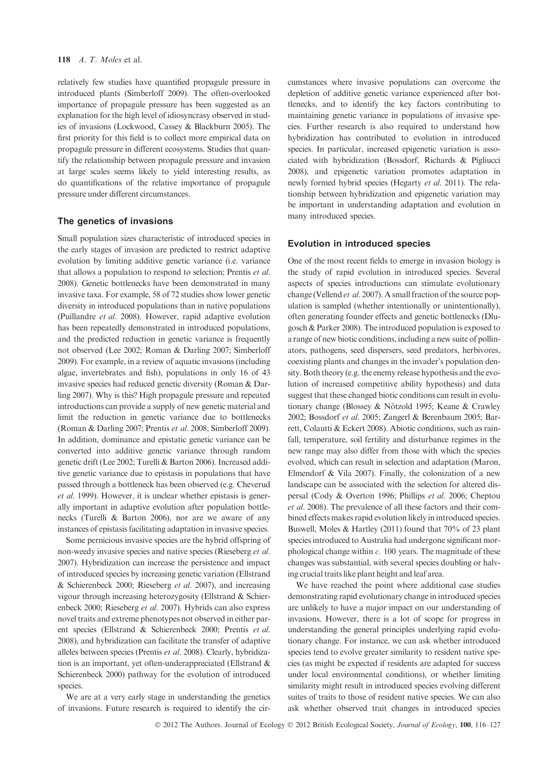relatively few studies have quantified propagule pressure in introduced plants (Simberloff 2009). The often-overlooked importance of propagule pressure has been suggested as an explanation for the high level of idiosyncrasy observed in studies of invasions (Lockwood, Cassey & Blackburn 2005). The first priority for this field is to collect more empirical data on propagule pressure in different ecosystems. Studies that quantify the relationship between propagule pressure and invasion at large scales seems likely to yield interesting results, as do quantifications of the relative importance of propagule pressure under different circumstances.

#### The genetics of invasions

Small population sizes characteristic of introduced species in the early stages of invasion are predicted to restrict adaptive evolution by limiting additive genetic variance (i.e. variance that allows a population to respond to selection; Prentis et al. 2008). Genetic bottlenecks have been demonstrated in many invasive taxa. For example, 58 of 72 studies show lower genetic diversity in introduced populations than in native populations (Puillandre et al. 2008). However, rapid adaptive evolution has been repeatedly demonstrated in introduced populations, and the predicted reduction in genetic variance is frequently not observed (Lee 2002; Roman & Darling 2007; Simberloff 2009). For example, in a review of aquatic invasions (including algae, invertebrates and fish), populations in only 16 of 43 invasive species had reduced genetic diversity (Roman & Darling 2007). Why is this? High propagule pressure and repeated introductions can provide a supply of new genetic material and limit the reduction in genetic variance due to bottlenecks (Roman & Darling 2007; Prentis et al. 2008; Simberloff 2009). In addition, dominance and epistatic genetic variance can be converted into additive genetic variance through random genetic drift (Lee 2002; Turelli & Barton 2006). Increased additive genetic variance due to epistasis in populations that have passed through a bottleneck has been observed (e.g. Cheverud et al. 1999). However, it is unclear whether epistasis is generally important in adaptive evolution after population bottlenecks (Turelli & Barton 2006), nor are we aware of any instances of epistasis facilitating adaptation in invasive species.

Some pernicious invasive species are the hybrid offspring of non-weedy invasive species and native species (Rieseberg et al. 2007). Hybridization can increase the persistence and impact of introduced species by increasing genetic variation (Ellstrand & Schierenbeck 2000; Rieseberg et al. 2007), and increasing vigour through increasing heterozygosity (Ellstrand & Schierenbeck 2000; Rieseberg et al. 2007). Hybrids can also express novel traits and extreme phenotypes not observed in either parent species (Ellstrand & Schierenbeck 2000; Prentis et al. 2008), and hybridization can facilitate the transfer of adaptive alleles between species (Prentis et al. 2008). Clearly, hybridization is an important, yet often-underappreciated (Ellstrand & Schierenbeck 2000) pathway for the evolution of introduced species.

We are at a very early stage in understanding the genetics of invasions. Future research is required to identify the circumstances where invasive populations can overcome the depletion of additive genetic variance experienced after bottlenecks, and to identify the key factors contributing to maintaining genetic variance in populations of invasive species. Further research is also required to understand how hybridization has contributed to evolution in introduced species. In particular, increased epigenetic variation is associated with hybridization (Bossdorf, Richards & Pigliucci 2008), and epigenetic variation promotes adaptation in newly formed hybrid species (Hegarty et al. 2011). The relationship between hybridization and epigenetic variation may be important in understanding adaptation and evolution in many introduced species.

#### Evolution in introduced species

One of the most recent fields to emerge in invasion biology is the study of rapid evolution in introduced species. Several aspects of species introductions can stimulate evolutionary change (Vellend et al. 2007). A small fraction of the source population is sampled (whether intentionally or unintentionally), often generating founder effects and genetic bottlenecks (Dlugosch & Parker 2008). The introduced population is exposed to a range of new biotic conditions, including a new suite of pollinators, pathogens, seed dispersers, seed predators, herbivores, coexisting plants and changes in the invader's population density. Both theory (e.g. the enemy release hypothesis and the evolution of increased competitive ability hypothesis) and data suggest that these changed biotic conditions can result in evolutionary change (Blossey & Nötzold 1995; Keane & Crawley 2002; Bossdorf et al. 2005; Zangerl & Berenbaum 2005; Barrett, Colautti & Eckert 2008). Abiotic conditions, such as rainfall, temperature, soil fertility and disturbance regimes in the new range may also differ from those with which the species evolved, which can result in selection and adaptation (Maron, Elmendorf & Vila 2007). Finally, the colonization of a new landscape can be associated with the selection for altered dispersal (Cody & Overton 1996; Phillips et al. 2006; Cheptou et al. 2008). The prevalence of all these factors and their combined effects makes rapid evolution likely in introduced species. Buswell, Moles & Hartley (2011) found that 70% of 23 plant species introduced to Australia had undergone significant morphological change within  $c$ . 100 years. The magnitude of these changes was substantial, with several species doubling or halving crucial traits like plant height and leaf area.

We have reached the point where additional case studies demonstrating rapid evolutionary change in introduced species are unlikely to have a major impact on our understanding of invasions. However, there is a lot of scope for progress in understanding the general principles underlying rapid evolutionary change. For instance, we can ask whether introduced species tend to evolve greater similarity to resident native species (as might be expected if residents are adapted for success under local environmental conditions), or whether limiting similarity might result in introduced species evolving different suites of traits to those of resident native species. We can also ask whether observed trait changes in introduced species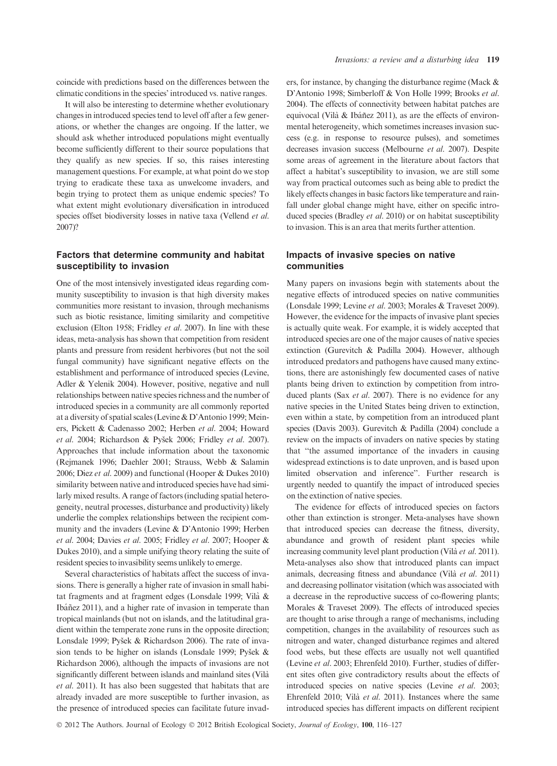coincide with predictions based on the differences between the climatic conditions in the species' introduced vs. native ranges.

It will also be interesting to determine whether evolutionary changes in introduced species tend to level off after a few generations, or whether the changes are ongoing. If the latter, we should ask whether introduced populations might eventually become sufficiently different to their source populations that they qualify as new species. If so, this raises interesting management questions. For example, at what point do we stop trying to eradicate these taxa as unwelcome invaders, and begin trying to protect them as unique endemic species? To what extent might evolutionary diversification in introduced species offset biodiversity losses in native taxa (Vellend et al. 2007)?

## Factors that determine community and habitat susceptibility to invasion

One of the most intensively investigated ideas regarding community susceptibility to invasion is that high diversity makes communities more resistant to invasion, through mechanisms such as biotic resistance, limiting similarity and competitive exclusion (Elton 1958; Fridley et al. 2007). In line with these ideas, meta-analysis has shown that competition from resident plants and pressure from resident herbivores (but not the soil fungal community) have significant negative effects on the establishment and performance of introduced species (Levine, Adler & Yelenik 2004). However, positive, negative and null relationships between native species richness and the number of introduced species in a community are all commonly reported at a diversity of spatial scales (Levine & D'Antonio 1999; Meiners, Pickett & Cadenasso 2002; Herben et al. 2004; Howard et al. 2004; Richardson & Pyšek 2006; Fridley et al. 2007). Approaches that include information about the taxonomic (Rejmanek 1996; Daehler 2001; Strauss, Webb & Salamin 2006; Diez et al. 2009) and functional (Hooper & Dukes 2010) similarity between native and introduced species have had similarly mixed results. A range of factors (including spatial heterogeneity, neutral processes, disturbance and productivity) likely underlie the complex relationships between the recipient community and the invaders (Levine & D'Antonio 1999; Herben et al. 2004; Davies et al. 2005; Fridley et al. 2007; Hooper & Dukes 2010), and a simple unifying theory relating the suite of resident species to invasibility seems unlikely to emerge.

Several characteristics of habitats affect the success of invasions. There is generally a higher rate of invasion in small habitat fragments and at fragment edges (Lonsdale 1999; Vilà & Ibáñez 2011), and a higher rate of invasion in temperate than tropical mainlands (but not on islands, and the latitudinal gradient within the temperate zone runs in the opposite direction; Lonsdale 1999; Pyšek & Richardson 2006). The rate of invasion tends to be higher on islands (Lonsdale 1999; Pyšek  $\&$ Richardson 2006), although the impacts of invasions are not significantly different between islands and mainland sites (Vila` et al. 2011). It has also been suggested that habitats that are already invaded are more susceptible to further invasion, as the presence of introduced species can facilitate future invaders, for instance, by changing the disturbance regime (Mack & D'Antonio 1998; Simberloff & Von Holle 1999; Brooks et al. 2004). The effects of connectivity between habitat patches are equivocal (Vilà & Ibáñez 2011), as are the effects of environmental heterogeneity, which sometimes increases invasion success (e.g. in response to resource pulses), and sometimes decreases invasion success (Melbourne et al. 2007). Despite some areas of agreement in the literature about factors that affect a habitat's susceptibility to invasion, we are still some way from practical outcomes such as being able to predict the likely effects changes in basic factors like temperature and rainfall under global change might have, either on specific introduced species (Bradley et al. 2010) or on habitat susceptibility to invasion. This is an area that merits further attention.

## Impacts of invasive species on native communities

Many papers on invasions begin with statements about the negative effects of introduced species on native communities (Lonsdale 1999; Levine et al. 2003; Morales & Traveset 2009). However, the evidence for the impacts of invasive plant species is actually quite weak. For example, it is widely accepted that introduced species are one of the major causes of native species extinction (Gurevitch & Padilla 2004). However, although introduced predators and pathogens have caused many extinctions, there are astonishingly few documented cases of native plants being driven to extinction by competition from introduced plants (Sax et al. 2007). There is no evidence for any native species in the United States being driven to extinction, even within a state, by competition from an introduced plant species (Davis 2003). Gurevitch & Padilla (2004) conclude a review on the impacts of invaders on native species by stating that ''the assumed importance of the invaders in causing widespread extinctions is to date unproven, and is based upon limited observation and inference''. Further research is urgently needed to quantify the impact of introduced species on the extinction of native species.

The evidence for effects of introduced species on factors other than extinction is stronger. Meta-analyses have shown that introduced species can decrease the fitness, diversity, abundance and growth of resident plant species while increasing community level plant production (Vilà et al. 2011). Meta-analyses also show that introduced plants can impact animals, decreasing fitness and abundance (Vilà et al. 2011) and decreasing pollinator visitation (which was associated with a decrease in the reproductive success of co-flowering plants; Morales & Traveset 2009). The effects of introduced species are thought to arise through a range of mechanisms, including competition, changes in the availability of resources such as nitrogen and water, changed disturbance regimes and altered food webs, but these effects are usually not well quantified (Levine et al. 2003; Ehrenfeld 2010). Further, studies of different sites often give contradictory results about the effects of introduced species on native species (Levine et al. 2003; Ehrenfeld 2010; Vilà et al. 2011). Instances where the same introduced species has different impacts on different recipient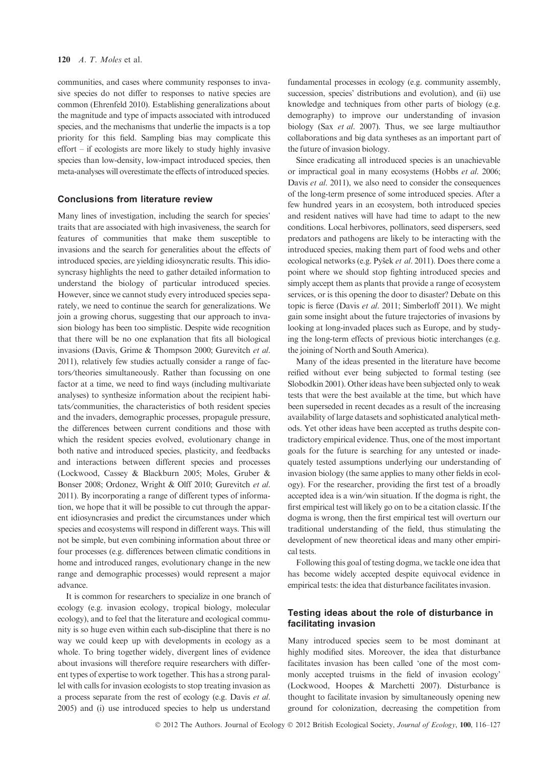communities, and cases where community responses to invasive species do not differ to responses to native species are common (Ehrenfeld 2010). Establishing generalizations about the magnitude and type of impacts associated with introduced species, and the mechanisms that underlie the impacts is a top priority for this field. Sampling bias may complicate this effort – if ecologists are more likely to study highly invasive species than low-density, low-impact introduced species, then meta-analyses will overestimate the effects of introduced species.

## Conclusions from literature review

Many lines of investigation, including the search for species' traits that are associated with high invasiveness, the search for features of communities that make them susceptible to invasions and the search for generalities about the effects of introduced species, are yielding idiosyncratic results. This idiosyncrasy highlights the need to gather detailed information to understand the biology of particular introduced species. However, since we cannot study every introduced species separately, we need to continue the search for generalizations. We join a growing chorus, suggesting that our approach to invasion biology has been too simplistic. Despite wide recognition that there will be no one explanation that fits all biological invasions (Davis, Grime & Thompson 2000; Gurevitch et al. 2011), relatively few studies actually consider a range of factors⁄theories simultaneously. Rather than focussing on one factor at a time, we need to find ways (including multivariate analyses) to synthesize information about the recipient habitats⁄ communities, the characteristics of both resident species and the invaders, demographic processes, propagule pressure, the differences between current conditions and those with which the resident species evolved, evolutionary change in both native and introduced species, plasticity, and feedbacks and interactions between different species and processes (Lockwood, Cassey & Blackburn 2005; Moles, Gruber & Bonser 2008; Ordonez, Wright & Olff 2010; Gurevitch et al. 2011). By incorporating a range of different types of information, we hope that it will be possible to cut through the apparent idiosyncrasies and predict the circumstances under which species and ecosystems will respond in different ways. This will not be simple, but even combining information about three or four processes (e.g. differences between climatic conditions in home and introduced ranges, evolutionary change in the new range and demographic processes) would represent a major advance.

It is common for researchers to specialize in one branch of ecology (e.g. invasion ecology, tropical biology, molecular ecology), and to feel that the literature and ecological community is so huge even within each sub-discipline that there is no way we could keep up with developments in ecology as a whole. To bring together widely, divergent lines of evidence about invasions will therefore require researchers with different types of expertise to work together. This has a strong parallel with calls for invasion ecologists to stop treating invasion as a process separate from the rest of ecology (e.g. Davis et al. 2005) and (i) use introduced species to help us understand

fundamental processes in ecology (e.g. community assembly, succession, species' distributions and evolution), and (ii) use knowledge and techniques from other parts of biology (e.g. demography) to improve our understanding of invasion biology (Sax et al. 2007). Thus, we see large multiauthor collaborations and big data syntheses as an important part of the future of invasion biology.

Since eradicating all introduced species is an unachievable or impractical goal in many ecosystems (Hobbs et al. 2006; Davis et al. 2011), we also need to consider the consequences of the long-term presence of some introduced species. After a few hundred years in an ecosystem, both introduced species and resident natives will have had time to adapt to the new conditions. Local herbivores, pollinators, seed dispersers, seed predators and pathogens are likely to be interacting with the introduced species, making them part of food webs and other ecological networks (e.g. Pyšek et al. 2011). Does there come a point where we should stop fighting introduced species and simply accept them as plants that provide a range of ecosystem services, or is this opening the door to disaster? Debate on this topic is fierce (Davis et al. 2011; Simberloff 2011). We might gain some insight about the future trajectories of invasions by looking at long-invaded places such as Europe, and by studying the long-term effects of previous biotic interchanges (e.g. the joining of North and South America).

Many of the ideas presented in the literature have become reified without ever being subjected to formal testing (see Slobodkin 2001). Other ideas have been subjected only to weak tests that were the best available at the time, but which have been superseded in recent decades as a result of the increasing availability of large datasets and sophisticated analytical methods. Yet other ideas have been accepted as truths despite contradictory empirical evidence. Thus, one of the most important goals for the future is searching for any untested or inadequately tested assumptions underlying our understanding of invasion biology (the same applies to many other fields in ecology). For the researcher, providing the first test of a broadly accepted idea is a win/win situation. If the dogma is right, the first empirical test will likely go on to be a citation classic. If the dogma is wrong, then the first empirical test will overturn our traditional understanding of the field, thus stimulating the development of new theoretical ideas and many other empirical tests.

Following this goal of testing dogma, we tackle one idea that has become widely accepted despite equivocal evidence in empirical tests: the idea that disturbance facilitates invasion.

## Testing ideas about the role of disturbance in facilitating invasion

Many introduced species seem to be most dominant at highly modified sites. Moreover, the idea that disturbance facilitates invasion has been called 'one of the most commonly accepted truisms in the field of invasion ecology' (Lockwood, Hoopes & Marchetti 2007). Disturbance is thought to facilitate invasion by simultaneously opening new ground for colonization, decreasing the competition from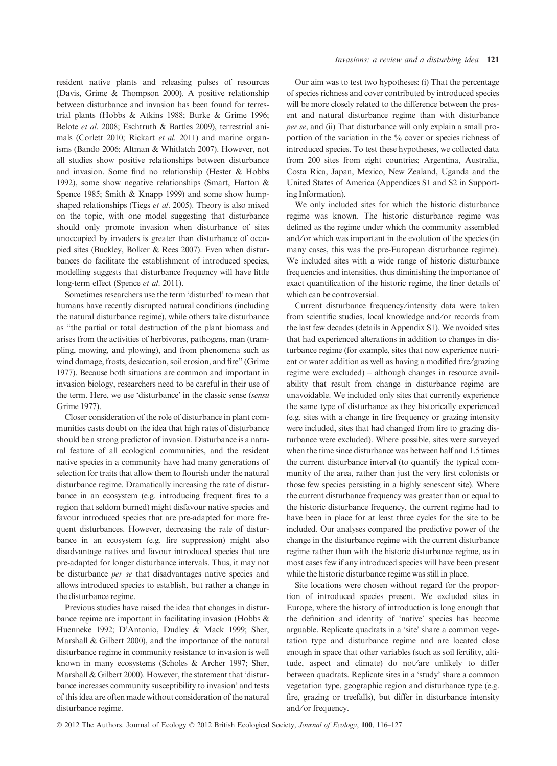resident native plants and releasing pulses of resources (Davis, Grime & Thompson 2000). A positive relationship between disturbance and invasion has been found for terrestrial plants (Hobbs & Atkins 1988; Burke & Grime 1996; Belote et al. 2008; Eschtruth & Battles 2009), terrestrial animals (Corlett 2010; Rickart et al. 2011) and marine organisms (Bando 2006; Altman & Whitlatch 2007). However, not all studies show positive relationships between disturbance and invasion. Some find no relationship (Hester & Hobbs 1992), some show negative relationships (Smart, Hatton & Spence 1985; Smith & Knapp 1999) and some show humpshaped relationships (Tiegs et al. 2005). Theory is also mixed on the topic, with one model suggesting that disturbance should only promote invasion when disturbance of sites unoccupied by invaders is greater than disturbance of occupied sites (Buckley, Bolker & Rees 2007). Even when disturbances do facilitate the establishment of introduced species, modelling suggests that disturbance frequency will have little long-term effect (Spence et al. 2011).

Sometimes researchers use the term 'disturbed' to mean that humans have recently disrupted natural conditions (including the natural disturbance regime), while others take disturbance as ''the partial or total destruction of the plant biomass and arises from the activities of herbivores, pathogens, man (trampling, mowing, and plowing), and from phenomena such as wind damage, frosts, desiccation, soil erosion, and fire'' (Grime 1977). Because both situations are common and important in invasion biology, researchers need to be careful in their use of the term. Here, we use 'disturbance' in the classic sense (sensu Grime 1977).

Closer consideration of the role of disturbance in plant communities casts doubt on the idea that high rates of disturbance should be a strong predictor of invasion. Disturbance is a natural feature of all ecological communities, and the resident native species in a community have had many generations of selection for traits that allow them to flourish under the natural disturbance regime. Dramatically increasing the rate of disturbance in an ecosystem (e.g. introducing frequent fires to a region that seldom burned) might disfavour native species and favour introduced species that are pre-adapted for more frequent disturbances. However, decreasing the rate of disturbance in an ecosystem (e.g. fire suppression) might also disadvantage natives and favour introduced species that are pre-adapted for longer disturbance intervals. Thus, it may not be disturbance per se that disadvantages native species and allows introduced species to establish, but rather a change in the disturbance regime.

Previous studies have raised the idea that changes in disturbance regime are important in facilitating invasion (Hobbs & Huenneke 1992; D'Antonio, Dudley & Mack 1999; Sher, Marshall & Gilbert 2000), and the importance of the natural disturbance regime in community resistance to invasion is well known in many ecosystems (Scholes & Archer 1997; Sher, Marshall & Gilbert 2000). However, the statement that 'disturbance increases community susceptibility to invasion' and tests of this idea are often made without consideration of the natural disturbance regime.

Our aim was to test two hypotheses: (i) That the percentage of species richness and cover contributed by introduced species will be more closely related to the difference between the present and natural disturbance regime than with disturbance per se, and (ii) That disturbance will only explain a small proportion of the variation in the % cover or species richness of introduced species. To test these hypotheses, we collected data from 200 sites from eight countries; Argentina, Australia, Costa Rica, Japan, Mexico, New Zealand, Uganda and the United States of America (Appendices S1 and S2 in Supporting Information).

We only included sites for which the historic disturbance regime was known. The historic disturbance regime was defined as the regime under which the community assembled and⁄ or which was important in the evolution of the species (in many cases, this was the pre-European disturbance regime). We included sites with a wide range of historic disturbance frequencies and intensities, thus diminishing the importance of exact quantification of the historic regime, the finer details of which can be controversial.

Current disturbance frequency/intensity data were taken from scientific studies, local knowledge and/or records from the last few decades (details in Appendix S1). We avoided sites that had experienced alterations in addition to changes in disturbance regime (for example, sites that now experience nutrient or water addition as well as having a modified fire ⁄ grazing regime were excluded) – although changes in resource availability that result from change in disturbance regime are unavoidable. We included only sites that currently experience the same type of disturbance as they historically experienced (e.g. sites with a change in fire frequency or grazing intensity were included, sites that had changed from fire to grazing disturbance were excluded). Where possible, sites were surveyed when the time since disturbance was between half and 1.5 times the current disturbance interval (to quantify the typical community of the area, rather than just the very first colonists or those few species persisting in a highly senescent site). Where the current disturbance frequency was greater than or equal to the historic disturbance frequency, the current regime had to have been in place for at least three cycles for the site to be included. Our analyses compared the predictive power of the change in the disturbance regime with the current disturbance regime rather than with the historic disturbance regime, as in most cases few if any introduced species will have been present while the historic disturbance regime was still in place.

Site locations were chosen without regard for the proportion of introduced species present. We excluded sites in Europe, where the history of introduction is long enough that the definition and identity of 'native' species has become arguable. Replicate quadrats in a 'site' share a common vegetation type and disturbance regime and are located close enough in space that other variables (such as soil fertility, altitude, aspect and climate) do not⁄ are unlikely to differ between quadrats. Replicate sites in a 'study' share a common vegetation type, geographic region and disturbance type (e.g. fire, grazing or treefalls), but differ in disturbance intensity and⁄ or frequency.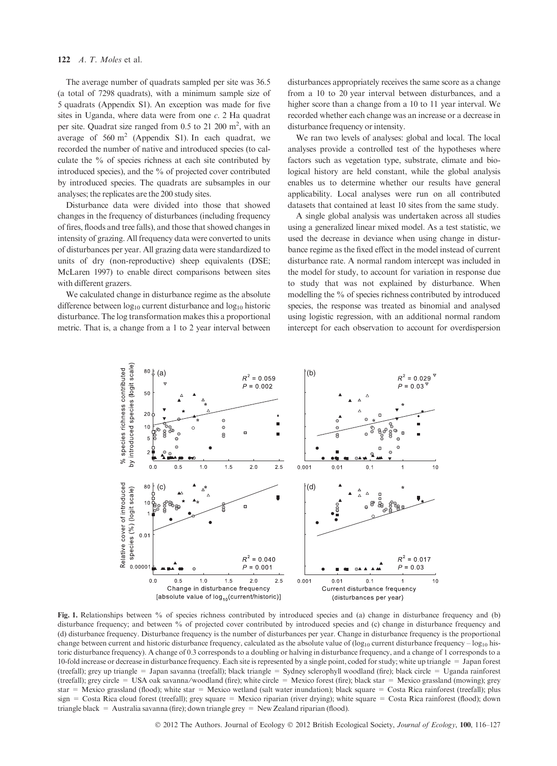The average number of quadrats sampled per site was 36.5 (a total of 7298 quadrats), with a minimum sample size of 5 quadrats (Appendix S1). An exception was made for five sites in Uganda, where data were from one c. 2 Ha quadrat per site. Quadrat size ranged from 0.5 to 21 200 m<sup>2</sup>, with an average of  $560 \text{ m}^2$  (Appendix S1). In each quadrat, we recorded the number of native and introduced species (to calculate the % of species richness at each site contributed by introduced species), and the % of projected cover contributed by introduced species. The quadrats are subsamples in our analyses; the replicates are the 200 study sites.

Disturbance data were divided into those that showed changes in the frequency of disturbances (including frequency of fires, floods and tree falls), and those that showed changes in intensity of grazing. All frequency data were converted to units of disturbances per year. All grazing data were standardized to units of dry (non-reproductive) sheep equivalents (DSE; McLaren 1997) to enable direct comparisons between sites with different grazers.

We calculated change in disturbance regime as the absolute difference between  $log_{10}$  current disturbance and  $log_{10}$  historic disturbance. The log transformation makes this a proportional metric. That is, a change from a 1 to 2 year interval between disturbances appropriately receives the same score as a change from a 10 to 20 year interval between disturbances, and a higher score than a change from a 10 to 11 year interval. We recorded whether each change was an increase or a decrease in disturbance frequency or intensity.

We ran two levels of analyses: global and local. The local analyses provide a controlled test of the hypotheses where factors such as vegetation type, substrate, climate and biological history are held constant, while the global analysis enables us to determine whether our results have general applicability. Local analyses were run on all contributed datasets that contained at least 10 sites from the same study.

A single global analysis was undertaken across all studies using a generalized linear mixed model. As a test statistic, we used the decrease in deviance when using change in disturbance regime as the fixed effect in the model instead of current disturbance rate. A normal random intercept was included in the model for study, to account for variation in response due to study that was not explained by disturbance. When modelling the % of species richness contributed by introduced species, the response was treated as binomial and analysed using logistic regression, with an additional normal random intercept for each observation to account for overdispersion



Fig. 1. Relationships between % of species richness contributed by introduced species and (a) change in disturbance frequency and (b) disturbance frequency; and between % of projected cover contributed by introduced species and (c) change in disturbance frequency and (d) disturbance frequency. Disturbance frequency is the number of disturbances per year. Change in disturbance frequency is the proportional change between current and historic disturbance frequency, calculated as the absolute value of  $(log_{10}$  current disturbance frequency –  $log_{10}$  historic disturbance frequency). A change of 0.3 corresponds to a doubling or halving in disturbance frequency, and a change of 1 corresponds to a 10-fold increase or decrease in disturbance frequency. Each site is represented by a single point, coded for study; white up triangle = Japan forest (treefall); grey up triangle = Japan savanna (treefall); black triangle = Sydney sclerophyll woodland (fire); black circle = Uganda rainforest (treefall); grey circle = USA oak savanna ⁄ woodland (fire); white circle = Mexico forest (fire); black star = Mexico grassland (mowing); grey star = Mexico grassland (flood); white star = Mexico wetland (salt water inundation); black square = Costa Rica rainforest (treefall); plus sign = Costa Rica cloud forest (treefall); grey square = Mexico riparian (river drying); white square = Costa Rica rainforest (flood); down triangle black = Australia savanna (fire); down triangle grey = New Zealand riparian (flood).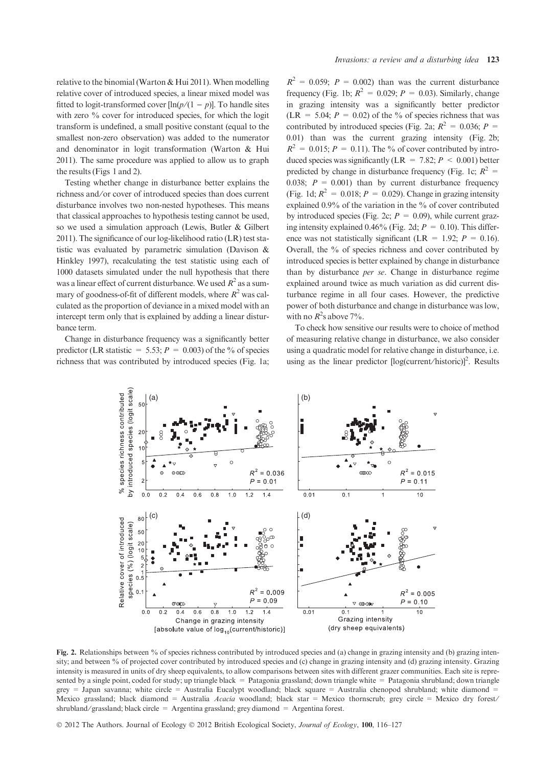relative to the binomial (Warton & Hui 2011). When modelling relative cover of introduced species, a linear mixed model was fitted to logit-transformed cover  $[\ln(p/(1 - p))]$ . To handle sites with zero % cover for introduced species, for which the logit transform is undefined, a small positive constant (equal to the smallest non-zero observation) was added to the numerator and denominator in logit transformation (Warton & Hui 2011). The same procedure was applied to allow us to graph the results (Figs 1 and 2).

Testing whether change in disturbance better explains the richness and⁄ or cover of introduced species than does current disturbance involves two non-nested hypotheses. This means that classical approaches to hypothesis testing cannot be used, so we used a simulation approach (Lewis, Butler & Gilbert 2011). The significance of our log-likelihood ratio (LR) test statistic was evaluated by parametric simulation (Davison & Hinkley 1997), recalculating the test statistic using each of 1000 datasets simulated under the null hypothesis that there was a linear effect of current disturbance. We used  $R^2$  as a summary of goodness-of-fit of different models, where  $R^2$  was calculated as the proportion of deviance in a mixed model with an intercept term only that is explained by adding a linear disturbance term.

Change in disturbance frequency was a significantly better predictor (LR statistic = 5.53;  $P = 0.003$ ) of the % of species richness that was contributed by introduced species (Fig. 1a;

 $R^2 = 0.059$ ;  $P = 0.002$ ) than was the current disturbance frequency (Fig. 1b;  $R^2 = 0.029$ ;  $P = 0.03$ ). Similarly, change in grazing intensity was a significantly better predictor (LR = 5.04;  $P = 0.02$ ) of the % of species richness that was contributed by introduced species (Fig. 2a;  $R^2 = 0.036$ ;  $P =$ 0.01) than was the current grazing intensity (Fig. 2b;  $R^2 = 0.015$ ;  $P = 0.11$ ). The % of cover contributed by introduced species was significantly (LR = 7.82;  $P < 0.001$ ) better predicted by change in disturbance frequency (Fig. 1c;  $R^2$  = 0.038;  $P = 0.001$ ) than by current disturbance frequency (Fig. 1d;  $R^2 = 0.018$ ;  $P = 0.029$ ). Change in grazing intensity explained 0.9% of the variation in the % of cover contributed by introduced species (Fig. 2c;  $P = 0.09$ ), while current grazing intensity explained 0.46% (Fig. 2d;  $P = 0.10$ ). This difference was not statistically significant (LR = 1.92;  $P = 0.16$ ). Overall, the % of species richness and cover contributed by introduced species is better explained by change in disturbance than by disturbance per se. Change in disturbance regime explained around twice as much variation as did current disturbance regime in all four cases. However, the predictive power of both disturbance and change in disturbance was low, with no  $R^2$ s above 7%.

To check how sensitive our results were to choice of method of measuring relative change in disturbance, we also consider using a quadratic model for relative change in disturbance, i.e. using as the linear predictor [log(current/historic)]<sup>2</sup>. Results



Fig. 2. Relationships between % of species richness contributed by introduced species and (a) change in grazing intensity and (b) grazing intensity; and between % of projected cover contributed by introduced species and (c) change in grazing intensity and (d) grazing intensity. Grazing intensity is measured in units of dry sheep equivalents, to allow comparisons between sites with different grazer communities. Each site is represented by a single point, coded for study; up triangle black = Patagonia grassland; down triangle white = Patagonia shrubland; down triangle grey = Japan savanna; white circle = Australia Eucalypt woodland; black square = Australia chenopod shrubland; white diamond = Mexico grassland; black diamond = Australia Acacia woodland; black star = Mexico thornscrub; grey circle = Mexico dry forest/ shrubland/grassland; black circle = Argentina grassland; grey diamond = Argentina forest.

 $\odot$  2012 The Authors. Journal of Ecology  $\odot$  2012 British Ecological Society, *Journal of Ecology*, 100, 116–127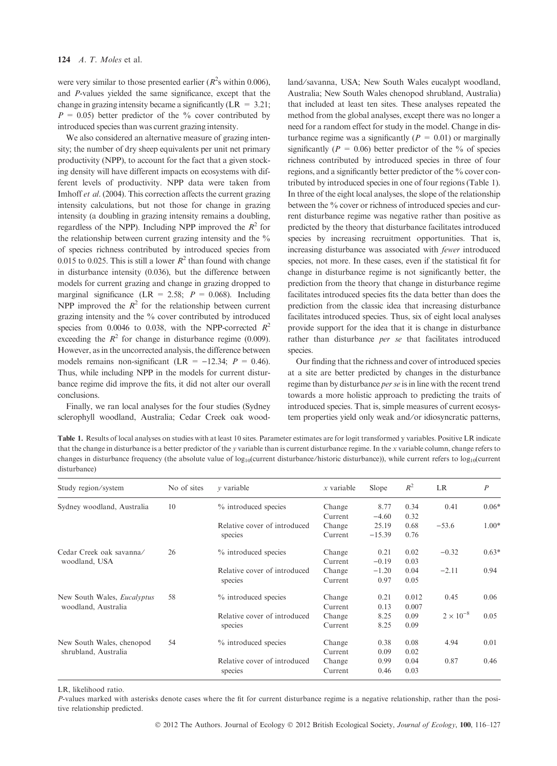were very similar to those presented earlier ( $R^2$ s within 0.006), and P-values yielded the same significance, except that the change in grazing intensity became a significantly  $(LR = 3.21)$ ;  $P = 0.05$ ) better predictor of the % cover contributed by introduced species than was current grazing intensity.

We also considered an alternative measure of grazing intensity; the number of dry sheep equivalents per unit net primary productivity (NPP), to account for the fact that a given stocking density will have different impacts on ecosystems with different levels of productivity. NPP data were taken from Imhoff et al. (2004). This correction affects the current grazing intensity calculations, but not those for change in grazing intensity (a doubling in grazing intensity remains a doubling, regardless of the NPP). Including NPP improved the  $R^2$  for the relationship between current grazing intensity and the % of species richness contributed by introduced species from 0.015 to 0.025. This is still a lower  $R^2$  than found with change in disturbance intensity (0.036), but the difference between models for current grazing and change in grazing dropped to marginal significance (LR = 2.58;  $P = 0.068$ ). Including NPP improved the  $R^2$  for the relationship between current grazing intensity and the % cover contributed by introduced species from 0.0046 to 0.038, with the NPP-corrected  $R^2$ exceeding the  $R^2$  for change in disturbance regime (0.009). However, as in the uncorrected analysis, the difference between models remains non-significant (LR =  $-12.34$ ;  $P = 0.46$ ). Thus, while including NPP in the models for current disturbance regime did improve the fits, it did not alter our overall conclusions.

Finally, we ran local analyses for the four studies (Sydney sclerophyll woodland, Australia; Cedar Creek oak woodland⁄savanna, USA; New South Wales eucalypt woodland, Australia; New South Wales chenopod shrubland, Australia) that included at least ten sites. These analyses repeated the method from the global analyses, except there was no longer a need for a random effect for study in the model. Change in disturbance regime was a significantly ( $P = 0.01$ ) or marginally significantly ( $P = 0.06$ ) better predictor of the % of species richness contributed by introduced species in three of four regions, and a significantly better predictor of the % cover contributed by introduced species in one of four regions (Table 1). In three of the eight local analyses, the slope of the relationship between the % cover or richness of introduced species and current disturbance regime was negative rather than positive as predicted by the theory that disturbance facilitates introduced species by increasing recruitment opportunities. That is, increasing disturbance was associated with fewer introduced species, not more. In these cases, even if the statistical fit for change in disturbance regime is not significantly better, the prediction from the theory that change in disturbance regime facilitates introduced species fits the data better than does the prediction from the classic idea that increasing disturbance facilitates introduced species. Thus, six of eight local analyses provide support for the idea that it is change in disturbance rather than disturbance per se that facilitates introduced species.

Our finding that the richness and cover of introduced species at a site are better predicted by changes in the disturbance regime than by disturbance per se is in line with the recent trend towards a more holistic approach to predicting the traits of introduced species. That is, simple measures of current ecosystem properties yield only weak and/or idiosyncratic patterns,

Table 1. Results of local analyses on studies with at least 10 sites. Parameter estimates are for logit transformed y variables. Positive LR indicate that the change in disturbance is a better predictor of the y variable than is current disturbance regime. In the x variable column, change refers to changes in disturbance frequency (the absolute value of  $log_{10}$ (current disturbance/historic disturbance)), while current refers to  $log_{10}$ (current disturbance)

| Study region/system                                       | No of sites | $\nu$ variable                          | $x$ variable | Slope    | $R^2$ | LR                 | $\boldsymbol{P}$ |
|-----------------------------------------------------------|-------------|-----------------------------------------|--------------|----------|-------|--------------------|------------------|
| Sydney woodland, Australia                                | 10          | % introduced species                    | Change       | 8.77     | 0.34  | 0.41               | $0.06*$          |
|                                                           |             |                                         | Current      | $-4.60$  | 0.32  |                    |                  |
|                                                           |             | Relative cover of introduced            | Change       | 25.19    | 0.68  | $-53.6$            | $1.00*$          |
|                                                           |             | species                                 | Current      | $-15.39$ | 0.76  |                    |                  |
| Cedar Creek oak savanna/<br>woodland, USA                 | 26          | % introduced species                    | Change       | 0.21     | 0.02  | $-0.32$            | $0.63*$          |
|                                                           |             |                                         | Current      | $-0.19$  | 0.03  |                    |                  |
|                                                           |             | Relative cover of introduced<br>species | Change       | $-1.20$  | 0.04  | $-2.11$            | 0.94             |
|                                                           |             |                                         | Current      | 0.97     | 0.05  |                    |                  |
| New South Wales, <i>Eucalyptus</i><br>woodland, Australia | 58          | $\%$ introduced species                 | Change       | 0.21     | 0.012 | 0.45               | 0.06             |
|                                                           |             |                                         | Current      | 0.13     | 0.007 |                    |                  |
|                                                           |             | Relative cover of introduced<br>species | Change       | 8.25     | 0.09  | $2 \times 10^{-8}$ | 0.05             |
|                                                           |             |                                         | Current      | 8.25     | 0.09  |                    |                  |
| New South Wales, chenopod<br>shrubland, Australia         | 54          | % introduced species                    | Change       | 0.38     | 0.08  | 4.94               | 0.01             |
|                                                           |             |                                         | Current      | 0.09     | 0.02  |                    |                  |
|                                                           |             | Relative cover of introduced            | Change       | 0.99     | 0.04  | 0.87               | 0.46             |
|                                                           |             | species                                 | Current      | 0.46     | 0.03  |                    |                  |

LR, likelihood ratio.

P-values marked with asterisks denote cases where the fit for current disturbance regime is a negative relationship, rather than the positive relationship predicted.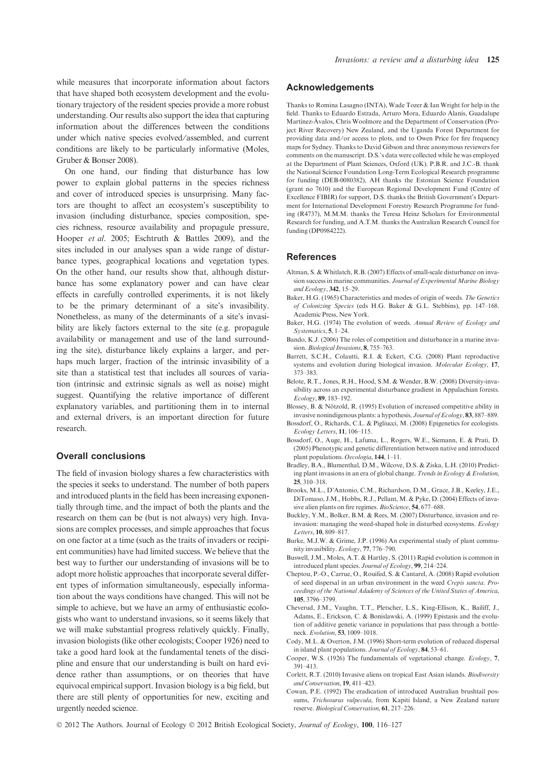while measures that incorporate information about factors that have shaped both ecosystem development and the evolutionary trajectory of the resident species provide a more robust understanding. Our results also support the idea that capturing information about the differences between the conditions under which native species evolved/assembled, and current conditions are likely to be particularly informative (Moles, Gruber & Bonser 2008).

On one hand, our finding that disturbance has low power to explain global patterns in the species richness and cover of introduced species is unsurprising. Many factors are thought to affect an ecosystem's susceptibility to invasion (including disturbance, species composition, species richness, resource availability and propagule pressure, Hooper et al. 2005; Eschtruth & Battles 2009), and the sites included in our analyses span a wide range of disturbance types, geographical locations and vegetation types. On the other hand, our results show that, although disturbance has some explanatory power and can have clear effects in carefully controlled experiments, it is not likely to be the primary determinant of a site's invasibility. Nonetheless, as many of the determinants of a site's invasibility are likely factors external to the site (e.g. propagule availability or management and use of the land surrounding the site), disturbance likely explains a larger, and perhaps much larger, fraction of the intrinsic invasibility of a site than a statistical test that includes all sources of variation (intrinsic and extrinsic signals as well as noise) might suggest. Quantifying the relative importance of different explanatory variables, and partitioning them in to internal and external drivers, is an important direction for future research.

## Overall conclusions

The field of invasion biology shares a few characteristics with the species it seeks to understand. The number of both papers and introduced plants in the field has been increasing exponentially through time, and the impact of both the plants and the research on them can be (but is not always) very high. Invasions are complex processes, and simple approaches that focus on one factor at a time (such as the traits of invaders or recipient communities) have had limited success. We believe that the best way to further our understanding of invasions will be to adopt more holistic approaches that incorporate several different types of information simultaneously, especially information about the ways conditions have changed. This will not be simple to achieve, but we have an army of enthusiastic ecologists who want to understand invasions, so it seems likely that we will make substantial progress relatively quickly. Finally, invasion biologists (like other ecologists; Cooper 1926) need to take a good hard look at the fundamental tenets of the discipline and ensure that our understanding is built on hard evidence rather than assumptions, or on theories that have equivocal empirical support. Invasion biology is a big field, but there are still plenty of opportunities for new, exciting and urgently needed science.

#### Acknowledgements

Thanks to Romina Lasagno (INTA), Wade Tozer & Ian Wright for help in the field. Thanks to Eduardo Estrada, Arturo Mora, Eduardo Alanís, Guadalupe Martínez-Ávalos, Chris Woolmore and the Department of Conservation (Project River Recovery) New Zealand, and the Uganda Forest Department for providing data and ⁄ or access to plots, and to Owen Price for fire frequency maps for Sydney. Thanks to David Gibson and three anonymous reviewers for comments on the manuscript. D.S.'s data were collected while he was employed at the Department of Plant Sciences, Oxford (UK). P.B.R. and J.C.-B. thank the National Science Foundation Long-Term Ecological Research programme for funding (DEB-0080382), AH thanks the Estonian Science Foundation (grant no 7610) and the European Regional Development Fund (Centre of Excellence FIBIR) for support, D.S. thanks the British Government's Department for International Development Forestry Research Programme for funding (R4737), M.M.M. thanks the Teresa Heinz Scholars for Environmental Research for funding, and A.T.M. thanks the Australian Research Council for funding (DP0984222).

#### References

- Altman, S. & Whitlatch, R.B. (2007) Effects of small-scale disturbance on invasion success in marine communities. Journal of Experimental Marine Biology and Ecology, 342, 15–29.
- Baker, H.G. (1965) Characteristics and modes of origin of weeds. The Genetics of Colonizing Species (eds H.G. Baker & G.L. Stebbins), pp. 147–168. Academic Press, New York.
- Baker, H.G. (1974) The evolution of weeds. Annual Review of Ecology and Systematics, 5, 1–24.
- Bando, K.J. (2006) The roles of competition and disturbance in a marine invasion. Biological Invasions, 8, 755–763.
- Barrett, S.C.H., Colautti, R.I. & Eckert, C.G. (2008) Plant reproductive systems and evolution during biological invasion. Molecular Ecology, 17, 373–383.
- Belote, R.T., Jones, R.H., Hood, S.M. & Wender, B.W. (2008) Diversity-invasibility across an experimental disturbance gradient in Appalachian forests. Ecology, 89, 183–192.
- Blossey, B. & Nötzold, R. (1995) Evolution of increased competitive ability in invasive nonindigenous plants: a hypothesis. Journal of Ecology, 83, 887–889.
- Bossdorf, O., Richards, C.L. & Pigliucci, M. (2008) Epigenetics for ecologists. Ecology Letters, 11, 106–115.
- Bossdorf, O., Auge, H., Lafuma, L., Rogers, W.E., Siemann, E. & Prati, D. (2005) Phenotypic and genetic differentiation between native and introduced plant populations. Oecologia, 144, 1–11.
- Bradley, B.A., Blumenthal, D.M., Wilcove, D.S. & Ziska, L.H. (2010) Predicting plant invasions in an era of global change. Trends in Ecology & Evolution, 25, 310–318.
- Brooks, M.L., D'Antonio, C.M., Richardson, D.M., Grace, J.B., Keeley, J.E., DiTomaso, J.M., Hobbs, R.J., Pellant, M. & Pyke, D. (2004) Effects of invasive alien plants on fire regimes. BioScience, 54, 677–688.
- Buckley, Y.M., Bolker, B.M. & Rees, M. (2007) Disturbance, invasion and reinvasion: managing the weed-shaped hole in disturbed ecosystems. Ecology Letters, 10, 809–817.
- Burke, M.J.W. & Grime, J.P. (1996) An experimental study of plant community invasibility. Ecology, 77, 776–790.
- Buswell, J.M., Moles, A.T. & Hartley, S. (2011) Rapid evolution is common in introduced plant species. Journal of Ecology, 99, 214–224.
- Cheptou, P.-O., Carrue, O., Rouifed, S. & Cantarel, A. (2008) Rapid evolution of seed dispersal in an urban environment in the weed Crepis sancta. Proceedings of the National Adademy of Sciences of the United States of America, 105, 3796–3799.
- Cheverud, J.M., Vaughn, T.T., Pletscher, L.S., King-Ellison, K., Bailiff, J., Adams, E., Erickson, C. & Bonislawski, A. (1999) Epistasis and the evolution of additive genetic variance in populations that pass through a bottleneck. Evolution, 53, 1009–1018.
- Cody, M.L. & Overton, J.M. (1996) Short-term evolution of reduced dispersal in island plant populations. Journal of Ecology, 84, 53–61.
- Cooper, W.S. (1926) The fundamentals of vegetational change. Ecology, 7, 391–413.
- Corlett, R.T. (2010) Invasive aliens on tropical East Asian islands. Biodiversity and Conservation, 19, 411–423.
- Cowan, P.E. (1992) The eradication of introduced Australian brushtail possums, Trichosurus vulpecula, from Kapiti Island, a New Zealand nature reserve. Biological Conservation, 61, 217–226.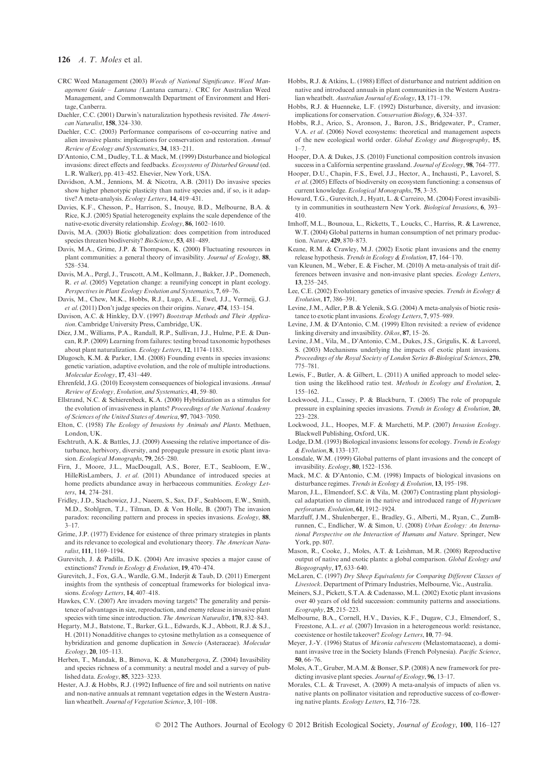- CRC Weed Management (2003) Weeds of National Significance. Weed Management Guide – Lantana (Lantana camara). CRC for Australian Weed Management, and Commonwealth Department of Environment and Heritage, Canberra.
- Daehler, C.C. (2001) Darwin's naturalization hypothesis revisited. The American Naturalist, 158, 324–330.
- Daehler, C.C. (2003) Performance comparisons of co-occurring native and alien invasive plants: implications for conservation and restoration. Annual Review of Ecology and Systematics, 34, 183–211.
- D'Antonio, C.M., Dudley, T.L. & Mack, M. (1999) Disturbance and biological invasions: direct effects and feedbacks. Ecosystems of Disturbed Ground (ed. L.R. Walker), pp. 413–452. Elsevier, New York, USA.
- Davidson, A.M., Jennions, M. & Nicotra, A.B. (2011) Do invasive species show higher phenotypic plasticity than native species and, if so, is it adaptive? A meta-analysis. Ecology Letters, 14, 419–431.
- Davies, K.F., Chesson, P., Harrison, S., Inouye, B.D., Melbourne, B.A. & Rice, K.J. (2005) Spatial heterogeneity explains the scale dependence of the native-exotic diversity relationship. Ecology, 86, 1602–1610.
- Davis, M.A. (2003) Biotic globalization: does competition from introduced species threaten biodiversity? BioScience, 53, 481–489.
- Davis, M.A., Grime, J.P. & Thompson, K. (2000) Fluctuating resources in plant communities: a general theory of invasibility. Journal of Ecology, 88, 528–534.
- Davis, M.A., Pergl, J., Truscott, A.M., Kollmann, J., Bakker, J.P., Domenech, R. et al. (2005) Vegetation change: a reunifying concept in plant ecology. Perspectives in Plant Ecology Evolution and Systematics, 7, 69–76.
- Davis, M., Chew, M.K., Hobbs, R.J., Lugo, A.E., Ewel, J.J., Vermeij, G.J. et al. (2011) Don't judge species on their origins. Nature, 474, 153–154.
- Davison, A.C. & Hinkley, D.V. (1997) Bootstrap Methods and Their Application. Cambridge University Press, Cambridge, UK.
- Diez, J.M., Williams, P.A., Randall, R.P., Sullivan, J.J., Hulme, P.E. & Duncan, R.P. (2009) Learning from failures: testing broad taxonomic hypotheses about plant naturalization. Ecology Letters, 12, 1174–1183.
- Dlugosch, K.M. & Parker, I.M. (2008) Founding events in species invasions: genetic variation, adaptive evolution, and the role of multiple introductions. Molecular Ecology, 17, 431–449.
- Ehrenfeld, J.G. (2010) Ecosystem consequences of biological invasions. Annual Review of Ecology, Evolution, and Systematics, 41, 59–80.
- Ellstrand, N.C. & Schierenbeck, K.A. (2000) Hybridization as a stimulus for the evolution of invasiveness in plants? Proceedings of the National Academy of Sciences of the United States of America, 97, 7043–7050.
- Elton, C. (1958) The Ecology of Invasions by Animals and Plants. Methuen, London, UK.
- Eschtruth, A.K. & Battles, J.J. (2009) Assessing the relative importance of disturbance, herbivory, diversity, and propagule pressure in exotic plant invasion. Ecological Monographs, 79, 265–280.
- Firn, J., Moore, J.L., MacDougall, A.S., Borer, E.T., Seabloom, E.W., HilleRisLambers, J. et al. (2011) Abundance of introduced species at home predicts abundance away in herbaceous communities. Ecology Letters, 14, 274–281.
- Fridley, J.D., Stachowicz, J.J., Naeem, S., Sax, D.F., Seabloom, E.W., Smith, M.D., Stohlgren, T.J., Tilman, D. & Von Holle, B. (2007) The invasion paradox: reconciling pattern and process in species invasions. Ecology, 88, 3–17.
- Grime, J.P. (1977) Evidence for existence of three primary strategies in plants and its relevance to ecological and evolutionary theory. The American Naturalist, 111, 1169–1194.
- Gurevitch, J. & Padilla, D.K. (2004) Are invasive species a major cause of extinctions? Trends in Ecology & Evolution, 19, 470-474.
- Gurevitch, J., Fox, G.A., Wardle, G.M., Inderjit & Taub, D. (2011) Emergent insights from the synthesis of conceptual frameworks for biological invasions. Ecology Letters, 14, 407–418.
- Hawkes, C.V. (2007) Are invaders moving targets? The generality and persistence of advantages in size, reproduction, and enemy release in invasive plant species with time since introduction. The American Naturalist, 170, 832–843.
- Hegarty, M.J., Batstone, T., Barker, G.L., Edwards, K.J., Abbott, R.J. & S.J., H. (2011) Nonadditive changes to cytosine methylation as a consequence of hybridization and genome duplication in Senecio (Asteraceae). Molecular Ecology, 20, 105–113.
- Herben, T., Mandak, B., Bimova, K. & Munzbergova, Z. (2004) Invasibility and species richness of a community: a neutral model and a survey of published data. Ecology, 85, 3223–3233.
- Hester, A.J. & Hobbs, R.J. (1992) Influence of fire and soil nutrients on native and non-native annuals at remnant vegetation edges in the Western Australian wheatbelt. Journal of Vegetation Science, 3, 101-108.
- Hobbs, R.J. & Atkins, L. (1988) Effect of disturbance and nutrient addition on native and introduced annuals in plant communities in the Western Australian wheatbelt. Australian Journal of Ecology, 13, 171-179.
- Hobbs, R.J. & Huenneke, L.F. (1992) Disturbance, diversity, and invasion: implications for conservation. Conservation Biology, 6, 324–337.
- Hobbs, R.J., Arico, S., Aronson, J., Baron, J.S., Bridgewater, P., Cramer, V.A. et al. (2006) Novel ecosystems: theoretical and management aspects of the new ecological world order. Global Ecology and Biogeography, 15,  $1 - 7$
- Hooper, D.A. & Dukes, J.S. (2010) Functional composition controls invasion success in a California serpentine grassland. Journal of Ecology, 98, 764–777.
- Hooper, D.U., Chapin, F.S., Ewel, J.J., Hector, A., Inchausti, P., Lavorel, S. et al. (2005) Effects of biodiversity on ecosystem functioning: a consensus of current knowledge. Ecological Monographs, 75, 3–35.
- Howard, T.G., Gurevitch, J., Hyatt, L. & Carreiro, M. (2004) Forest invasibility in communities in southeastern New York. Biological Invasions, 6, 393– 410.
- Imhoff, M.L., Bounoua, L., Ricketts, T., Loucks, C., Harriss, R. & Lawrence, W.T. (2004) Global patterns in human consumption of net primary production. Nature, 429, 870–873.
- Keane, R.M. & Crawley, M.J. (2002) Exotic plant invasions and the enemy release hypothesis. Trends in Ecology & Evolution, 17, 164–170.
- van Kleunen, M., Weber, E. & Fischer, M. (2010) A meta-analysis of trait differences between invasive and non-invasive plant species. Ecology Letters, 13, 235–245.
- Lee, C.E. (2002) Evolutionary genetics of invasive species. Trends in Ecology & Evolution, 17, 386–391.
- Levine, J.M., Adler, P.B. & Yelenik, S.G. (2004) A meta-analysis of biotic resistance to exotic plant invasions. Ecology Letters, 7, 975–989.
- Levine, J.M. & D'Antonio, C.M. (1999) Elton revisited: a review of evidence linking diversity and invasibility. Oikos, 87, 15–26.
- Levine, J.M., Vila, M., D'Antonio, C.M., Dukes, J.S., Grigulis, K. & Lavorel, S. (2003) Mechanisms underlying the impacts of exotic plant invasions. Proceedings of the Royal Society of London Series B-Biological Sciences, 270, 775–781.
- Lewis, F., Butler, A. & Gilbert, L. (2011) A unified approach to model selection using the likelihood ratio test. Methods in Ecology and Evolution, 2, 155–162.
- Lockwood, J.L., Cassey, P. & Blackburn, T. (2005) The role of propagule pressure in explaining species invasions. Trends in Ecology & Evolution, 20, 223–228.
- Lockwood, J.L., Hoopes, M.F. & Marchetti, M.P. (2007) Invasion Ecology. Blackwell Publishing, Oxford, UK.
- Lodge, D.M. (1993) Biological invasions: lessons for ecology. Trends in Ecology & Evolution, 8, 133–137.
- Lonsdale, W.M. (1999) Global patterns of plant invasions and the concept of invasibility. Ecology, 80, 1522–1536.
- Mack, M.C. & D'Antonio, C.M. (1998) Impacts of biological invasions on disturbance regimes. Trends in Ecology & Evolution, 13, 195–198.
- Maron, J.L., Elmendorf, S.C. & Vila, M. (2007) Contrasting plant physiological adaptation to climate in the native and introduced range of Hypericum perforatum. Evolution, 61, 1912–1924.
- Marzluff, J.M., Shulenberger, E., Bradley, G., Alberti, M., Ryan, C., ZumBrunnen, C., Endlicher, W. & Simon, U. (2008) Urban Ecology: An International Perspective on the Interaction of Humans and Nature. Springer, New York, pp. 807.
- Mason, R., Cooke, J., Moles, A.T. & Leishman, M.R. (2008) Reproductive output of native and exotic plants: a global comparison. Global Ecology and Biogeography, 17, 633–640.
- McLaren, C. (1997) Dry Sheep Equivalents for Comparing Different Classes of Livestock. Department of Primary Industries, Melbourne, Vic., Australia.
- Meiners, S.J., Pickett, S.T.A. & Cadenasso, M.L. (2002) Exotic plant invasions over 40 years of old field succession: community patterns and associations. Ecography, 25, 215–223.
- Melbourne, B.A., Cornell, H.V., Davies, K.F., Dugaw, C.J., Elmendorf, S., Freestone, A.L. et al. (2007) Invasion in a heterogeneous world: resistance, coexistence or hostile takeover? Ecology Letters, 10, 77–94.
- Meyer, J.-Y. (1996) Status of Miconia calvescens (Melastomataceae), a dominant invasive tree in the Society Islands (French Polynesia). Pacific Science, 50, 66–76.
- Moles, A.T., Gruber, M.A.M. & Bonser, S.P. (2008) A new framework for predicting invasive plant species. Journal of Ecology, 96, 13-17.
- Morales, C.L. & Traveset, A. (2009) A meta-analysis of impacts of alien vs. native plants on pollinator visitation and reproductive success of co-flowering native plants. Ecology Letters, 12, 716–728.